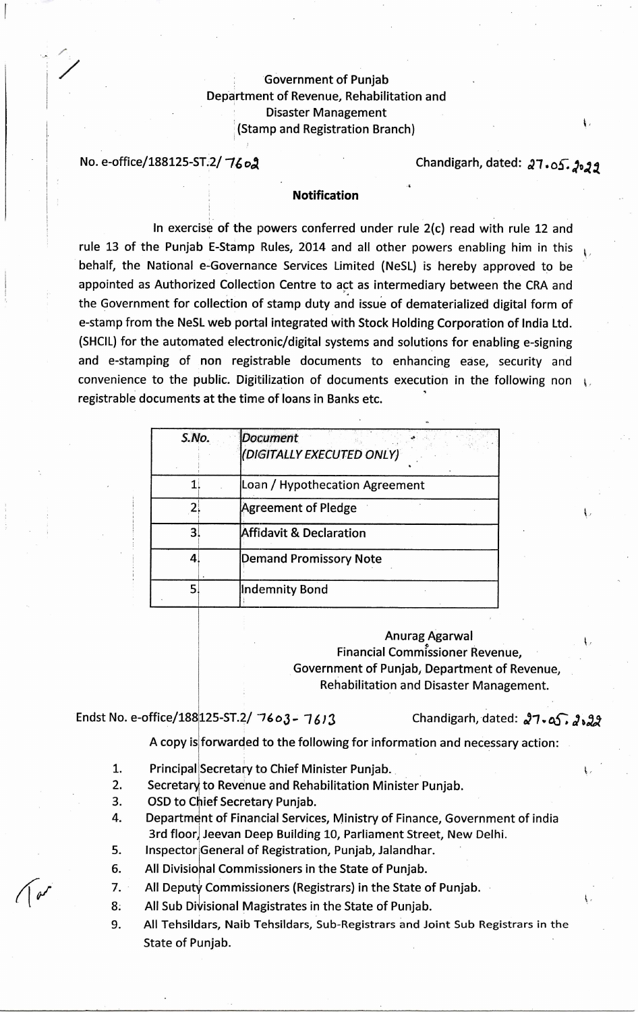## Government of Punjab Department of Revenue, Rehabilitation and Disaster Management (Stamp and Registration Branch)

No. e-office/188125-ST.2/  $76$ o2

ţ,

## **Notification**

In exercise of the powers conferred under rule 2(c) read with rule 12 and rule 13 of the Punjab E-Stamp Rules, 2014 and all other powers enabling him in this behalf, the National e-Governance Services Limited (NeSL) is hereby approved to be appointed as Authorized Collection Centre to act as intermediary between the CRA and the Government for collection of stamp duty and issue of dematerialized digital form of e-stamp from the NeSL web portal integrated with Stock Holding Corporation of India Ltd. (SHCIL) for the automated electronic/digital systems and solutions for enabling e-signing and e-stamping of non registrable documents to enhancing ease, security and convenience to the public. Digitilization of documents execution in the following non registrable documents at the time of loans in Banks etc.

| S.No. | <b>Document</b><br>(DIGITALLY EXECUTED ONLY) |
|-------|----------------------------------------------|
|       | Loan / Hypothecation Agreement               |
|       | <b>Agreement of Pledge</b>                   |
|       | <b>Affidavit &amp; Declaration</b>           |
| 4     | Demand Promissory Note                       |
| 5     | <b>Indemnity Bond</b>                        |

Anurag Agarwal Financial Commissioner Revenue, Government of Punjab, Department of Revenue, Rehabilitation and Disaster Management.

Endst No. e-office/188 125-ST.2/ 7603 - 7613

125-ST.2/ "76 o3 - *7613* Chandigarh, dated: 02-7.05.; **4%024** 

A copy is forwarded to the following for information and necessary action:

- 1. Principal Secretary to Chief Minister Punjab.
- 2. Secretary to Revenue and Rehabilitation Minister Punjab.
- 3. OSD to Chief Secretary Punjab.
- 4. Department of Financial Services, Ministry of Finance, Government of india 3rd floor, Jeevan Deep Building 10, Parliament Street, New Delhi.
- 5. Inspector General of Registration, Punjab, Jalandhar.
- 6. All Divisiohal Commissioners in the State of Punjab.
- 7. All Deputy Commissioners (Registrars) in the State of Punjab.
- 8. All Sub Divisional Magistrates in the State of Punjab.
- 9. All Tehsildars, Naib Tehsildars, Sub-Registrars and Joint Sub Registrars in the State of Punjab.